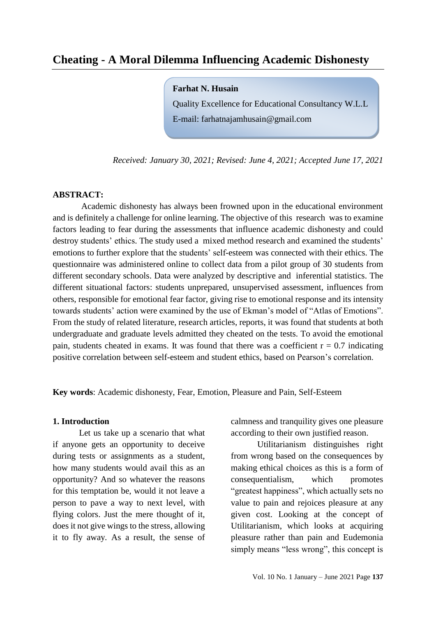**Farhat N. Husain** 

Quality Excellence for Educational Consultancy W.L.L E-mail: [farhatnajamhusain@gmail.com](mailto:farhatnajamhusain@gmail.com)

*Received: January 30, 2021; Revised: June 4, 2021; Accepted June 17, 2021*

#### **ABSTRACT:**

 Academic dishonesty has always been frowned upon in the educational environment and is definitely a challenge for online learning. The objective of this research was to examine factors leading to fear during the assessments that influence academic dishonesty and could destroy students' ethics. The study used a mixed method research and examined the students' emotions to further explore that the students' self-esteem was connected with their ethics. The questionnaire was administered online to collect data from a pilot group of 30 students from different secondary schools. Data were analyzed by descriptive and inferential statistics. The different situational factors: students unprepared, unsupervised assessment, influences from others, responsible for emotional fear factor, giving rise to emotional response and its intensity towards students' action were examined by the use of Ekman's model of "Atlas of Emotions". From the study of related literature, research articles, reports, it was found that students at both undergraduate and graduate levels admitted they cheated on the tests. To avoid the emotional pain, students cheated in exams. It was found that there was a coefficient  $r = 0.7$  indicating positive correlation between self-esteem and student ethics, based on Pearson's correlation.

**Key words**: Academic dishonesty, Fear, Emotion, Pleasure and Pain, Self-Esteem

### **1. Introduction**

Let us take up a scenario that what if anyone gets an opportunity to deceive during tests or assignments as a student, how many students would avail this as an opportunity? And so whatever the reasons for this temptation be, would it not leave a person to pave a way to next level, with flying colors. Just the mere thought of it, does it not give wings to the stress, allowing it to fly away. As a result, the sense of calmness and tranquility gives one pleasure according to their own justified reason.

Utilitarianism distinguishes right from wrong based on the consequences by making ethical choices as this is a form of consequentialism, which promotes "greatest happiness", which actually sets no value to pain and rejoices pleasure at any given cost. Looking at the concept of Utilitarianism, which looks at acquiring pleasure rather than pain and Eudemonia simply means "less wrong", this concept is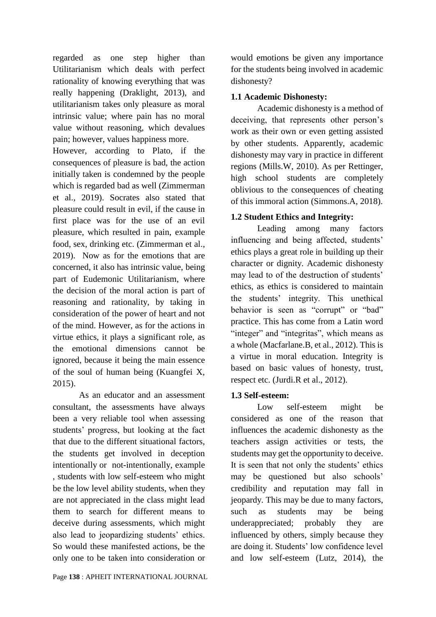regarded as one step higher than Utilitarianism which deals with perfect rationality of knowing everything that was really happening (Draklight, 2013), and utilitarianism takes only pleasure as moral intrinsic value; where pain has no moral value without reasoning, which devalues pain; however, values happiness more.

However, according to Plato, if the consequences of pleasure is bad, the action initially taken is condemned by the people which is regarded bad as well (Zimmerman et al., 2019). Socrates also stated that pleasure could result in evil, if the cause in first place was for the use of an evil pleasure, which resulted in pain, example food, sex, drinking etc. (Zimmerman et al., 2019). Now as for the emotions that are concerned, it also has intrinsic value, being part of Eudemonic Utilitarianism, where the decision of the moral action is part of reasoning and rationality, by taking in consideration of the power of heart and not of the mind. However, as for the actions in virtue ethics, it plays a significant role, as the emotional dimensions cannot be ignored, because it being the main essence of the soul of human being (Kuangfei X, 2015).

As an educator and an assessment consultant, the assessments have always been a very reliable tool when assessing students' progress, but looking at the fact that due to the different situational factors, the students get involved in deception intentionally or not-intentionally, example , students with low self-esteem who might be the low level ability students, when they are not appreciated in the class might lead them to search for different means to deceive during assessments, which might also lead to jeopardizing students' ethics. So would these manifested actions, be the only one to be taken into consideration or would emotions be given any importance for the students being involved in academic dishonesty?

# **1.1 Academic Dishonesty:**

Academic dishonesty is a method of deceiving, that represents other person's work as their own or even getting assisted by other students. Apparently, academic dishonesty may vary in practice in different regions (Mills.W, 2010). As per Rettinger, high school students are completely oblivious to the consequences of cheating of this immoral action (Simmons.A, 2018).

# **1.2 Student Ethics and Integrity:**

Leading among many factors influencing and being affected, students' ethics plays a great role in building up their character or dignity. Academic dishonesty may lead to of the destruction of students' ethics, as ethics is considered to maintain the students' integrity. This unethical behavior is seen as "corrupt" or "bad" practice. This has come from a Latin word "integer" and "integritas", which means as a whole (Macfarlane.B, et al., 2012). This is a virtue in moral education. Integrity is based on basic values of honesty, trust, respect etc. (Jurdi.R et al., 2012).

## **1.3 Self-esteem:**

Low self-esteem might be considered as one of the reason that influences the academic dishonesty as the teachers assign activities or tests, the students may get the opportunity to deceive. It is seen that not only the students' ethics may be questioned but also schools' credibility and reputation may fall in jeopardy. This may be due to many factors, such as students may be being underappreciated; probably they are influenced by others, simply because they are doing it. Students' low confidence level and low self-esteem (Lutz, 2014), the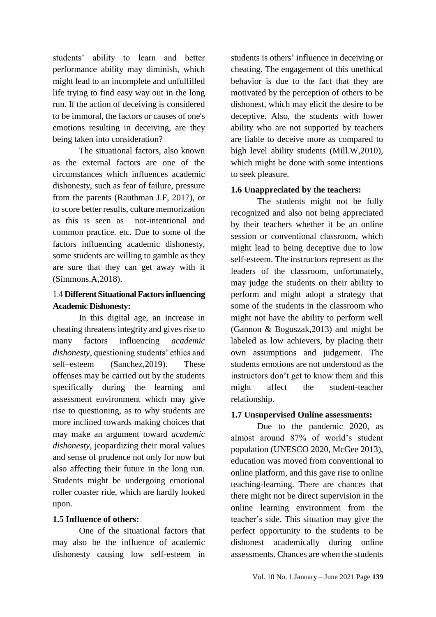students' ability to learn and better performance ability may diminish, which might lead to an incomplete and unfulfilled life trying to find easy way out in the long run. If the action of deceiving is considered to be immoral, the factors or causes of one's emotions resulting in deceiving, are they being taken into consideration?

The situational factors, also known as the external factors are one of the circumstances which influences academic dishonesty, such as fear of failure, pressure from the parents (Rauthman J.F, 2017), or to score better results, culture memorization as this is seen as not-intentional and common practice. etc. Due to some of the factors influencing academic dishonesty, some students are willing to gamble as they are sure that they can get away with it (Simmons.A,2018).

# 4.1 **Different Situational Factors influencing Academic Dishonesty:**

In this digital age, an increase in cheating threatens integrity and gives rise to many factors influencing *academic dishonesty*, questioning students' ethics and self–esteem (Sanchez,2019). These offenses may be carried out by the students specifically during the learning and assessment environment which may give rise to questioning, as to why students are more inclined towards making choices that may make an argument toward *academic dishonesty*, jeopardizing their moral values and sense of prudence not only for now but also affecting their future in the long run. Students might be undergoing emotional roller coaster ride, which are hardly looked upon.

## **1.5 Influence of others:**

One of the situational factors that may also be the influence of academic dishonesty causing low self-esteem in students is others' influence in deceiving or cheating. The engagement of this unethical behavior is due to the fact that they are motivated by the perception of others to be dishonest, which may elicit the desire to be deceptive. Also, the students with lower ability who are not supported by teachers are liable to deceive more as compared to high level ability students (Mill.W,2010), which might be done with some intentions to seek pleasure.

# **1.6 Unappreciated by the teachers:**

The students might not be fully recognized and also not being appreciated by their teachers whether it be an online session or conventional classroom, which might lead to being deceptive due to low self-esteem. The instructors represent as the leaders of the classroom, unfortunately, may judge the students on their ability to perform and might adopt a strategy that some of the students in the classroom who might not have the ability to perform well (Gannon & Boguszak,2013) and might be labeled as low achievers, by placing their own assumptions and judgement. The students emotions are not understood as the instructors don't get to know them and this might affect the student-teacher relationship.

## **1.7 Unsupervised Online assessments:**

Due to the pandemic 2020, as almost around 87% of world's student population (UNESCO 2020, McGee 2013), education was moved from conventional to online platform, and this gave rise to online teaching-learning. There are chances that there might not be direct supervision in the online learning environment from the teacher's side. This situation may give the perfect opportunity to the students to be dishonest academically during online assessments. Chances are when the students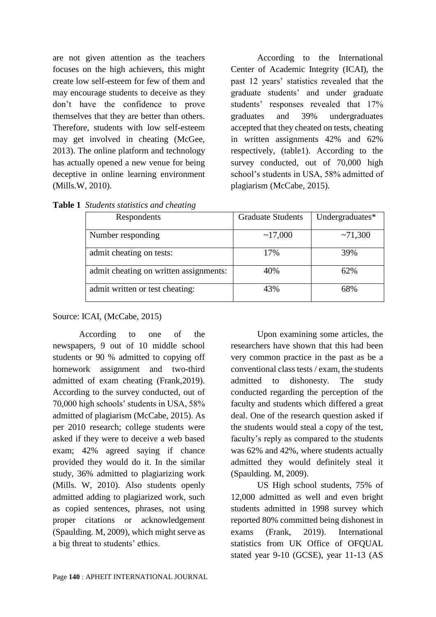are not given attention as the teachers focuses on the high achievers, this might create low self-esteem for few of them and may encourage students to deceive as they don't have the confidence to prove themselves that they are better than others. Therefore, students with low self-esteem may get involved in cheating (McGee, 2013). The online platform and technology has actually opened a new venue for being deceptive in online learning environment (Mills.W, 2010).

According to the International Center of Academic Integrity (ICAI), the past 12 years' statistics revealed that the graduate students' and under graduate students' responses revealed that 17% graduates and 39% undergraduates accepted that they cheated on tests, cheating in written assignments 42% and 62% respectively, (table1). According to the survey conducted, out of 70,000 high school's students in USA, 58% admitted of plagiarism (McCabe, 2015).

| Respondents                            | <b>Graduate Students</b> | Undergraduates* |
|----------------------------------------|--------------------------|-----------------|
| Number responding                      | ~17,000                  | ~1,300          |
| admit cheating on tests:               | 17%                      | 39%             |
| admit cheating on written assignments: | 40%                      | 62%             |
| admit written or test cheating:        | 43%                      | 68%             |

**Table 1** *Students statistics and cheating*

### [Source:](https://www.academicintegrity.org/statistics/) ICAI, (McCabe, 2015)

According to one of the newspapers, 9 out of 10 middle school students or 90 % admitted to copying off homework assignment and two-third admitted of exam cheating (Frank,2019). According to the survey conducted, out of 70,000 high schools' students in USA, 58% admitted of plagiarism (McCabe, 2015). As per 2010 research; college students were asked if they were to deceive a web based exam; 42% agreed saying if chance provided they would do it. In the similar study, 36% admitted to plagiarizing work (Mills. W, 2010). Also students openly admitted adding to plagiarized work, such as copied sentences, phrases, not using proper citations or acknowledgement (Spaulding. M, 2009), which might serve as a big threat to students' ethics.

Upon examining some articles, the researchers have shown that this had been very common practice in the past as be a conventional class tests / exam, the students admitted to dishonesty. The study conducted regarding the perception of the faculty and students which differed a great deal. One of the research question asked if the students would steal a copy of the test, faculty's reply as compared to the students was 62% and 42%, where students actually admitted they would definitely steal it (Spaulding. M, 2009).

US High school students, 75% of 12,000 admitted as well and even bright students admitted in 1998 survey which reported 80% committed being dishonest in exams (Frank, 2019). International statistics from UK Office of OFOUAL stated year 9-10 (GCSE), year 11-13 (AS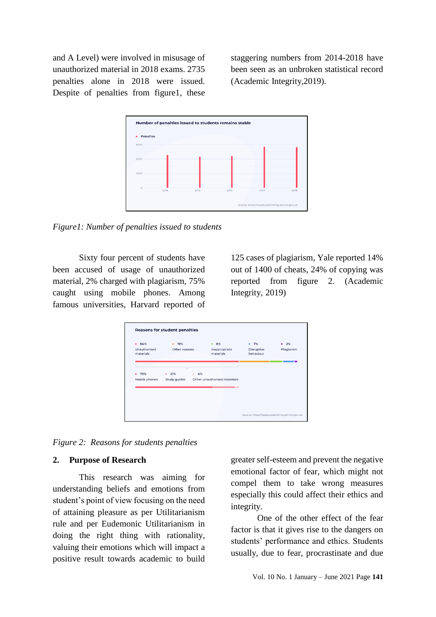and A Level) were involved in misusage of unauthorized material in 2018 exams. 2735 penalties alone in 2018 were issued. Despite of penalties from figure1, these

staggering numbers from 2014-2018 have been seen as an unbroken statistical record (Academic Integrity,2019).



*Figure1: Number of penalties issued to students*

Sixty four percent of students have been accused of usage of unauthorized material, 2% charged with plagiarism, 75% caught using mobile phones. Among famous universities, Harvard reported of

125 cases of plagiarism, Yale reported 14% out of 1400 of cheats, 24% of copying was reported from figure 2. (Academic Integrity, 2019)

| materials | behaviour                    |  |
|-----------|------------------------------|--|
|           |                              |  |
|           |                              |  |
|           |                              |  |
|           |                              |  |
|           |                              |  |
| -         |                              |  |
|           |                              |  |
|           |                              |  |
|           | Other unauthorised materials |  |

*Figure 2: Reasons for students penalties*

#### **2. Purpose of Research**

This research was aiming for understanding beliefs and emotions from student's point of view focusing on the need of attaining pleasure as per Utilitarianism rule and per Eudemonic Utilitarianism in doing the right thing with rationality, valuing their emotions which will impact a positive result towards academic to build greater self-esteem and prevent the negative emotional factor of fear, which might not compel them to take wrong measures especially this could affect their ethics and integrity.

One of the other effect of the fear factor is that it gives rise to the dangers on students' performance and ethics. Students usually, due to fear, procrastinate and due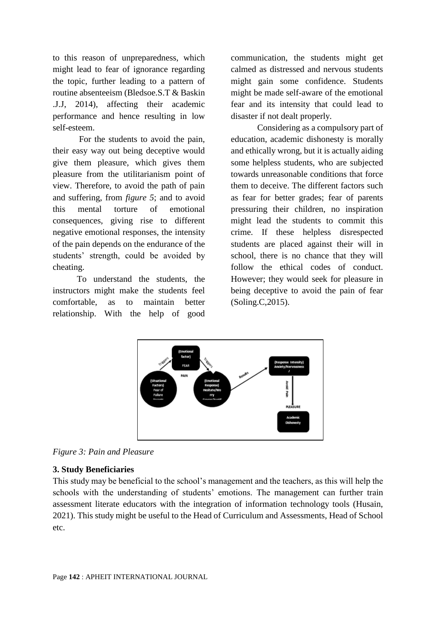to this reason of unpreparedness, which might lead to fear of ignorance regarding the topic, further leading to a pattern of routine absenteeism (Bledsoe.S.T & Baskin .J.J, 2014), affecting their academic performance and hence resulting in low self-esteem.

For the students to avoid the pain, their easy way out being deceptive would give them pleasure, which gives them pleasure from the utilitarianism point of view. Therefore, to avoid the path of pain and suffering, from *figure 5*; and to avoid this mental torture of emotional consequences, giving rise to different negative emotional responses, the intensity of the pain depends on the endurance of the students' strength, could be avoided by cheating.

 To understand the students, the instructors might make the students feel comfortable, as to maintain better relationship. With the help of good communication, the students might get calmed as distressed and nervous students might gain some confidence. Students might be made self-aware of the emotional fear and its intensity that could lead to disaster if not dealt properly.

Considering as a compulsory part of education, academic dishonesty is morally and ethically wrong, but it is actually aiding some helpless students, who are subjected towards unreasonable conditions that force them to deceive. The different factors such as fear for better grades; fear of parents pressuring their children, no inspiration might lead the students to commit this crime. If these helpless disrespected students are placed against their will in school, there is no chance that they will follow the ethical codes of conduct. However; they would seek for pleasure in being deceptive to avoid the pain of fear (Soling.C,2015).



*Figure 3: Pain and Pleasure*

## **3. Study Beneficiaries**

This study may be beneficial to the school's management and the teachers, as this will help the schools with the understanding of students' emotions. The management can further train assessment literate educators with the integration of information technology tools (Husain, 2021). This study might be useful to the Head of Curriculum and Assessments, Head of School etc.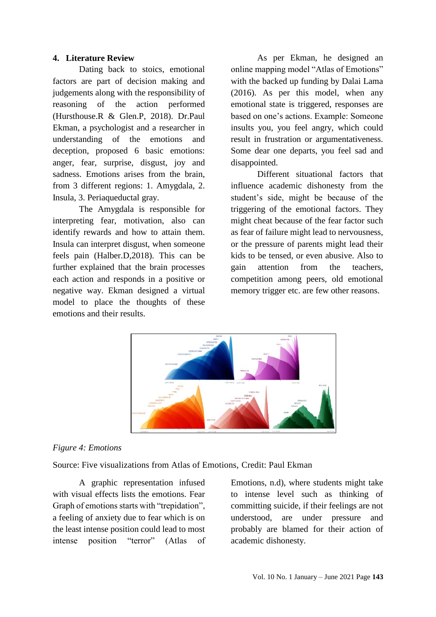### **4. Literature Review**

Dating back to stoics, emotional factors are part of decision making and judgements along with the responsibility of reasoning of the action performed (Hursthouse.R & Glen.P, 2018). Dr.Paul Ekman, a psychologist and a researcher in understanding of the emotions and deception, proposed 6 basic emotions: anger, fear, surprise, disgust, joy and sadness. Emotions arises from the brain, from 3 different regions: 1. Amygdala, 2. Insula, 3. Periaqueductal gray.

The Amygdala is responsible for interpreting fear, motivation, also can identify rewards and how to attain them. Insula can interpret disgust, when someone feels pain (Halber.D,2018). This can be further explained that the brain processes each action and responds in a positive or negative way. Ekman designed a virtual model to place the thoughts of these emotions and their results.

As per Ekman, he designed an online mapping model "Atlas of Emotions" with the backed up funding by Dalai Lama (2016). As per this model, when any emotional state is triggered, responses are based on one's actions. Example: Someone insults you, you feel angry, which could result in frustration or argumentativeness. Some dear one departs, you feel sad and disappointed.

Different situational factors that influence academic dishonesty from the student's side, might be because of the triggering of the emotional factors. They might cheat because of the fear factor such as fear of failure might lead to nervousness, or the pressure of parents might lead their kids to be tensed, or even abusive. Also to gain attention from the teachers, competition among peers, old emotional memory trigger etc. are few other reasons.



## *Figure 4: Emotions*

Source: Five visualizations from Atlas of Emotions, [Credit: Paul Ekman](http://www.paulekman.com/atlas-of-emotions/)

A graphic representation infused with visual effects lists the emotions. Fear Graph of emotions starts with "trepidation", a feeling of anxiety due to fear which is on the least intense position could lead to most intense position "terror" (Atlas of Emotions, n.d), where students might take to intense level such as thinking of committing suicide, if their feelings are not understood, are under pressure and probably are blamed for their action of academic dishonesty.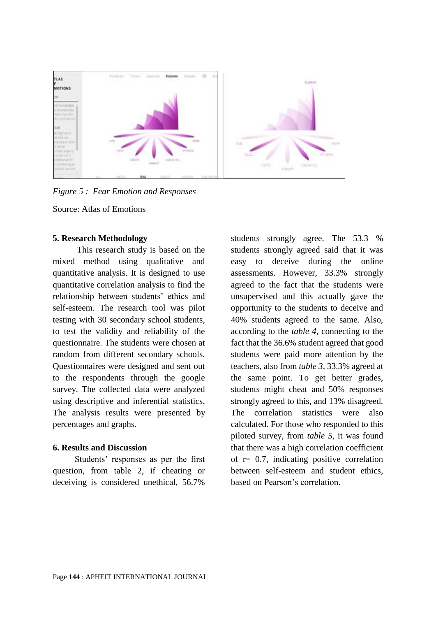

*Figure 5 : Fear Emotion and Responses*

Source: Atlas of Emotions

#### **5. Research Methodology**

 This research study is based on the mixed method using qualitative and quantitative analysis. It is designed to use quantitative correlation analysis to find the relationship between students' ethics and self-esteem. The research tool was pilot testing with 30 secondary school students, to test the validity and reliability of the questionnaire. The students were chosen at random from different secondary schools. Questionnaires were designed and sent out to the respondents through the google survey. The collected data were analyzed using descriptive and inferential statistics. The analysis results were presented by percentages and graphs.

### **6. Results and Discussion**

 Students' responses as per the first question, from table 2, if cheating or deceiving is considered unethical, 56.7%

students strongly agree. The 53.3 % students strongly agreed said that it was easy to deceive during the online assessments. However, 33.3% strongly agreed to the fact that the students were unsupervised and this actually gave the opportunity to the students to deceive and 40% students agreed to the same. Also, according to the *table 4*, connecting to the fact that the 36.6% student agreed that good students were paid more attention by the teachers, also from *table 3,* 33.3% agreed at the same point. To get better grades, students might cheat and 50% responses strongly agreed to this, and 13% disagreed. The correlation statistics were also calculated. For those who responded to this piloted survey, from *table 5*, it was found that there was a high correlation coefficient of  $r = 0.7$ , indicating positive correlation between self-esteem and student ethics, based on Pearson's correlation.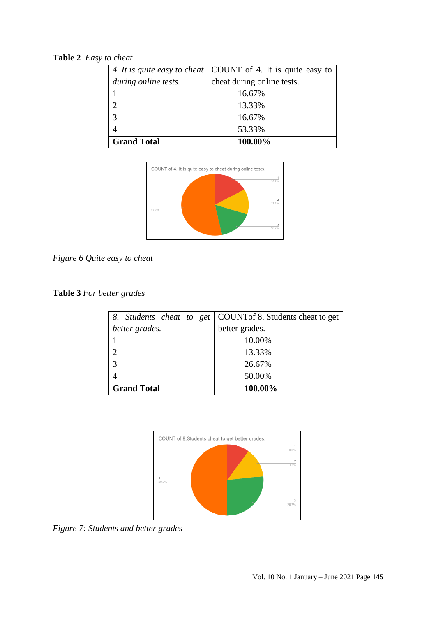# **Table 2** *Easy to cheat*

|                      | 4. It is quite easy to cheat   COUNT of 4. It is quite easy to |  |
|----------------------|----------------------------------------------------------------|--|
| during online tests. | cheat during online tests.                                     |  |
|                      | 16.67%                                                         |  |
|                      | 13.33%                                                         |  |
| $\mathcal{R}$        | 16.67%                                                         |  |
|                      | 53.33%                                                         |  |
| <b>Grand Total</b>   | 100.00%                                                        |  |



*Figure 6 Quite easy to cheat*

**Table 3** *For better grades*

|                    | 8. Students cheat to get   COUNT of 8. Students cheat to get |  |
|--------------------|--------------------------------------------------------------|--|
| better grades.     | better grades.                                               |  |
|                    | 10.00%                                                       |  |
|                    | 13.33%                                                       |  |
|                    | 26.67%                                                       |  |
|                    | 50.00%                                                       |  |
| <b>Grand Total</b> | 100.00%                                                      |  |



*Figure 7: Students and better grades*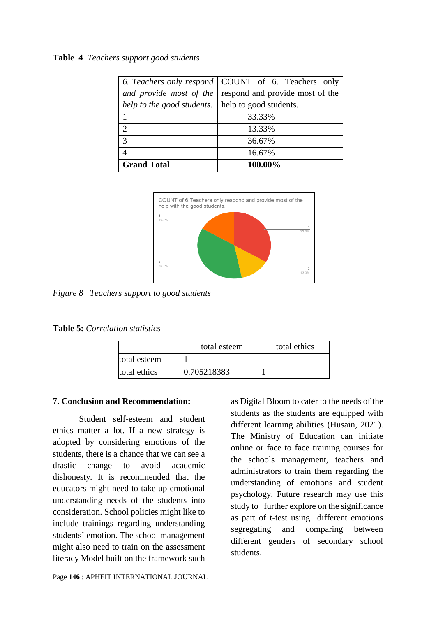#### **Table 4** *Teachers support good students*

|                                                     | 6. Teachers only respond   COUNT of 6. Teachers only |  |
|-----------------------------------------------------|------------------------------------------------------|--|
| and provide most of the                             | respond and provide most of the                      |  |
| help to the good students.   help to good students. |                                                      |  |
|                                                     | 33.33%                                               |  |
| $\mathcal{D}_{\mathcal{L}}$                         | 13.33%                                               |  |
| $\mathcal{R}$                                       | 36.67%                                               |  |
|                                                     | 16.67%                                               |  |
| <b>Grand Total</b>                                  | 100.00%                                              |  |



*Figure 8 Teachers support to good students*

|              | total esteem | total ethics |
|--------------|--------------|--------------|
| total esteem |              |              |
| total ethics | 0.705218383  |              |

#### **7. Conclusion and Recommendation:**

Student self-esteem and student ethics matter a lot. If a new strategy is adopted by considering emotions of the students, there is a chance that we can see a drastic change to avoid academic dishonesty. It is recommended that the educators might need to take up emotional understanding needs of the students into consideration. School policies might like to include trainings regarding understanding students' emotion. The school management might also need to train on the assessment literacy Model built on the framework such

Page **146** : APHEIT INTERNATIONAL JOURNAL

as Digital Bloom to cater to the needs of the students as the students are equipped with different learning abilities (Husain, 2021). The Ministry of Education can initiate online or face to face training courses for the schools management, teachers and administrators to train them regarding the understanding of emotions and student psychology. Future research may use this study to further explore on the significance as part of t-test using different emotions segregating and comparing between different genders of secondary school students.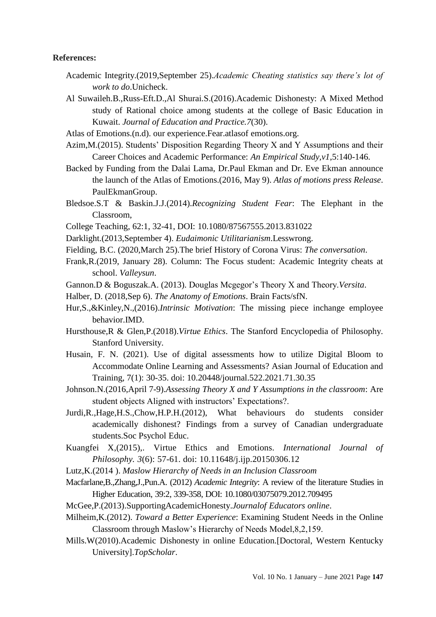#### **References:**

- Academic Integrity.(2019,September 25).*Academic Cheating statistics say there's lot of work to do*.Unicheck.
- Al Suwaileh.B.,Russ-Eft.D.,Al Shurai.S.(2016).Academic Dishonesty: A Mixed Method study of Rational choice among students at the college of Basic Education in Kuwait. *Journal of Education and Practice.7*(30).

Atlas of Emotions.(n.d). our experience.Fear.atlasof emotions.org.

- Azim,M.(2015). Students' Disposition Regarding Theory X and Y Assumptions and their Career Choices and Academic Performance: *An Empirical Study,v1*,5:140-146.
- Backed by Funding from the Dalai Lama, Dr.Paul Ekman and Dr. Eve Ekman announce the launch of the Atlas of Emotions.(2016, May 9). *Atlas of motions press Release*. PaulEkmanGroup.
- Bledsoe.S.T & Baskin.J.J.(2014).*Recognizing Student Fear*: The Elephant in the Classroom,
- College Teaching, 62:1, 32-41, DOI: 10.1080/87567555.2013.831022
- Darklight.(2013,September 4). *Eudaimonic Utilitarianism*.Lesswrong.
- Fielding, B.C. (2020,March 25).The brief History of Corona Virus: *The conversation*.
- Frank,R.(2019, January 28). Column: The Focus student: Academic Integrity cheats at school. *Valleysun*.
- Gannon.D & Boguszak.A. (2013). Douglas Mcgegor's Theory X and Theory.*Versita*.
- Halber, D. (2018,Sep 6). *The Anatomy of Emotions*. Brain Facts/sfN.
- Hur,S.,&Kinley,N.,(2016).*Intrinsic Motivation*: The missing piece inchange employee behavior.IMD.
- Hursthouse,R & Glen,P.(2018).*Virtue Ethics*. The Stanford Encyclopedia of Philosophy. Stanford University.
- Husain, F. N. (2021). Use of digital assessments how to utilize Digital Bloom to Accommodate Online Learning and Assessments? Asian Journal of Education and Training, 7(1): 30-35. doi: 10.20448/journal.522.2021.71.30.35
- Johnson.N.(2016,April 7-9).*Assessing Theory X and Y Assumptions in the classroom*: Are student objects Aligned with instructors' Expectations?.
- Jurdi,R.,Hage,H.S.,Chow,H.P.H.(2012), What behaviours do students consider academically dishonest? Findings from a survey of Canadian undergraduate students.Soc Psychol Educ.
- Kuangfei X,(2015),. Virtue Ethics and Emotions. *International Journal of Philosophy. 3*(6): 57-61. doi: 10.11648/j.ijp.20150306.12
- Lutz,K.(2014 ). *Maslow Hierarchy of Needs in an Inclusion Classroom*
- Macfarlane,B.,Zhang,J.,Pun.A. (2012) *Academic Integrity*: A review of the literature Studies in Higher Education, 39:2, 339-358, DOI: 10.1080/03075079.2012.709495
- McGee,P.(2013).SupportingAcademicHonesty.*Journalof Educators online*.
- Milheim,K.(2012). *Toward a Better Experience*: Examining Student Needs in the Online Classroom through Maslow's Hierarchy of Needs Model,8,2,159.
- Mills.W(2010).Academic Dishonesty in online Education.[Doctoral, Western Kentucky University].*TopScholar*.